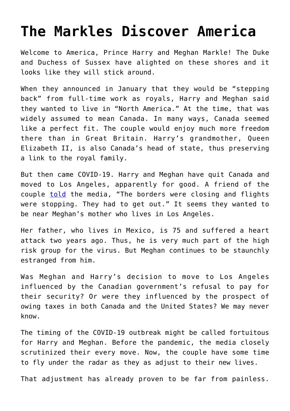## **[The Markles Discover America](https://intellectualtakeout.org/2020/04/the-markles-discover-america/)**

Welcome to America, Prince Harry and Meghan Markle! The Duke and Duchess of Sussex have alighted on these shores and it looks like they will stick around.

When they announced in January that they would be "stepping back" from full-time work as royals, Harry and Meghan said they wanted to live in "North America." At the time, that was widely assumed to mean Canada. In many ways, Canada seemed like a perfect fit. The couple would enjoy much more freedom there than in Great Britain. Harry's grandmother, Queen Elizabeth II, is also Canada's head of state, thus preserving a link to the royal family.

But then came COVID-19. Harry and Meghan have quit Canada and moved to Los Angeles, apparently for good. A friend of the couple [told](https://www.vanityfair.com/style/2020/03/meghan-and-harry-sudden-move-to-california) the media, "The borders were closing and flights were stopping. They had to get out." It seems they wanted to be near Meghan's mother who lives in Los Angeles.

Her father, who lives in Mexico, is 75 and suffered a heart attack two years ago. Thus, he is very much part of the high risk group for the virus. But Meghan continues to be staunchly estranged from him.

Was Meghan and Harry's decision to move to Los Angeles influenced by the Canadian government's refusal to pay for their security? Or were they influenced by the prospect of owing taxes in both Canada and the United States? We may never know.

The timing of the COVID-19 outbreak might be called fortuitous for Harry and Meghan. Before the pandemic, the media closely scrutinized their every move. Now, the couple have some time to fly under the radar as they as adjust to their new lives.

That adjustment has already proven to be far from painless.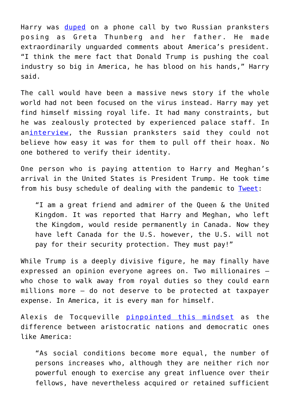Harry was [duped](https://www.theguardian.com/uk-news/2020/mar/11/prince-harry-tricked-into-megxit-revelations-by-fake-greta-thunberg) on a phone call by two Russian pranksters posing as Greta Thunberg and her father. He made extraordinarily unguarded comments about America's president. "I think the mere fact that Donald Trump is pushing the coal industry so big in America, he has blood on his hands," Harry said.

The call would have been a massive news story if the whole world had not been focused on the virus instead. Harry may yet find himself missing royal life. It had many constraints, but he was zealously protected by experienced palace staff. In an[interview,](https://www.theguardian.com/uk-news/2020/mar/12/prince-harry-thought-he-was-talking-to-greta-thunberg-russian-pranksters-claim) the Russian pranksters said they could not believe how easy it was for them to pull off their hoax. No one bothered to verify their identity.

One person who is paying attention to Harry and Meghan's arrival in the United States is President Trump. He took time from his busy schedule of dealing with the pandemic to [Tweet](https://twitter.com/realDonaldTrump/status/1244338645198352386):

"I am a great friend and admirer of the Queen & the United Kingdom. It was reported that Harry and Meghan, who left the Kingdom, would reside permanently in Canada. Now they have left Canada for the U.S. however, the U.S. will not pay for their security protection. They must pay!"

While Trump is a deeply divisive figure, he may finally have expressed an opinion everyone agrees on. Two millionaires – who chose to walk away from royal duties so they could earn millions more – do not deserve to be protected at taxpayer expense. In America, it is every man for himself.

Alexis de Tocqueville [pinpointed this mindset](https://www.amazon.com/gp/product/0226805360/ref=as_li_qf_asin_il_tl?ie=UTF8&tag=intelltakeo0d-20&creative=9325&linkCode=as2&creativeASIN=0226805360&linkId=5b167adc955d7b63feffab8064dfe631) as the difference between aristocratic nations and democratic ones like America:

"As social conditions become more equal, the number of persons increases who, although they are neither rich nor powerful enough to exercise any great influence over their fellows, have nevertheless acquired or retained sufficient